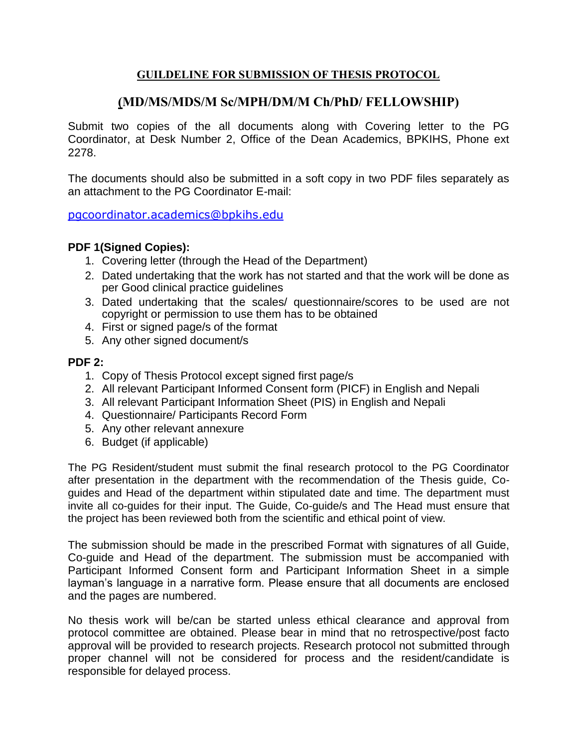# **GUILDELINE FOR SUBMISSION OF THESIS PROTOCOL**

# **(MD/MS/MDS/M Sc/MPH/DM/M Ch/PhD/ FELLOWSHIP)**

Submit two copies of the all documents along with Covering letter to the PG Coordinator, at Desk Number 2, Office of the Dean Academics, BPKIHS, Phone ext 2278.

The documents should also be submitted in a soft copy in two PDF files separately as an attachment to the PG Coordinator E-mail:

[pgcoordinator.academics@bpkihs.edu](mailto:pgcoordinator.academics@bpkihs.edu)

# **PDF 1(Signed Copies):**

- 1. Covering letter (through the Head of the Department)
- 2. Dated undertaking that the work has not started and that the work will be done as per Good clinical practice guidelines
- 3. Dated undertaking that the scales/ questionnaire/scores to be used are not copyright or permission to use them has to be obtained
- 4. First or signed page/s of the format
- 5. Any other signed document/s

# **PDF 2:**

- 1. Copy of Thesis Protocol except signed first page/s
- 2. All relevant Participant Informed Consent form (PICF) in English and Nepali
- 3. All relevant Participant Information Sheet (PIS) in English and Nepali
- 4. Questionnaire/ Participants Record Form
- 5. Any other relevant annexure
- 6. Budget (if applicable)

The PG Resident/student must submit the final research protocol to the PG Coordinator after presentation in the department with the recommendation of the Thesis guide, Coguides and Head of the department within stipulated date and time. The department must invite all co-guides for their input. The Guide, Co-guide/s and The Head must ensure that the project has been reviewed both from the scientific and ethical point of view.

The submission should be made in the prescribed Format with signatures of all Guide, Co-guide and Head of the department. The submission must be accompanied with Participant Informed Consent form and Participant Information Sheet in a simple layman's language in a narrative form. Please ensure that all documents are enclosed and the pages are numbered.

No thesis work will be/can be started unless ethical clearance and approval from protocol committee are obtained. Please bear in mind that no retrospective/post facto approval will be provided to research projects. Research protocol not submitted through proper channel will not be considered for process and the resident/candidate is responsible for delayed process.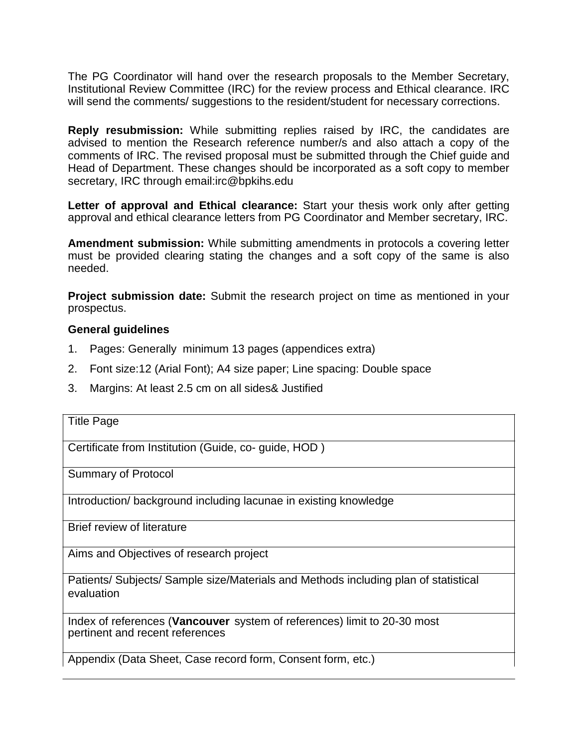The PG Coordinator will hand over the research proposals to the Member Secretary, Institutional Review Committee (IRC) for the review process and Ethical clearance. IRC will send the comments/ suggestions to the resident/student for necessary corrections.

**Reply resubmission:** While submitting replies raised by IRC, the candidates are advised to mention the Research reference number/s and also attach a copy of the comments of IRC. The revised proposal must be submitted through the Chief guide and Head of Department. These changes should be incorporated as a soft copy to member secretary, IRC through email:irc@bpkihs.edu

**Letter of approval and Ethical clearance:** Start your thesis work only after getting approval and ethical clearance letters from PG Coordinator and Member secretary, IRC.

**Amendment submission:** While submitting amendments in protocols a covering letter must be provided clearing stating the changes and a soft copy of the same is also needed.

**Project submission date:** Submit the research project on time as mentioned in your prospectus.

# **General guidelines**

- 1. Pages: Generally minimum 13 pages (appendices extra)
- 2. Font size:12 (Arial Font); A4 size paper; Line spacing: Double space
- 3. Margins: At least 2.5 cm on all sides& Justified

|  | <b>Title Page</b> |
|--|-------------------|
|--|-------------------|

Certificate from Institution (Guide, co- guide, HOD )

Summary of Protocol

Introduction/ background including lacunae in existing knowledge

Brief review of literature

Aims and Objectives of research project

Patients/ Subjects/ Sample size/Materials and Methods including plan of statistical evaluation

Index of references (**Vancouver** system of references) limit to 20-30 most pertinent and recent references

Appendix (Data Sheet, Case record form, Consent form, etc.)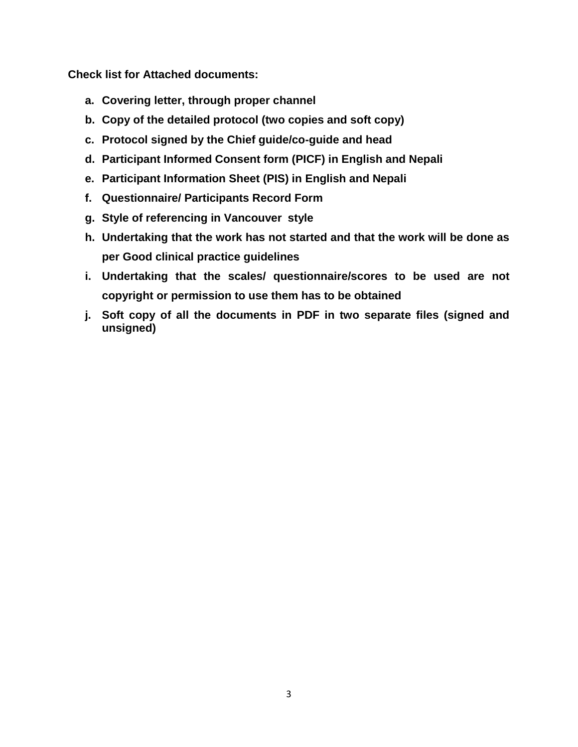**Check list for Attached documents:**

- **a. Covering letter, through proper channel**
- **b. Copy of the detailed protocol (two copies and soft copy)**
- **c. Protocol signed by the Chief guide/co-guide and head**
- **d. Participant Informed Consent form (PICF) in English and Nepali**
- **e. Participant Information Sheet (PIS) in English and Nepali**
- **f. Questionnaire/ Participants Record Form**
- **g. Style of referencing in Vancouver style**
- **h. Undertaking that the work has not started and that the work will be done as per Good clinical practice guidelines**
- **i. Undertaking that the scales/ questionnaire/scores to be used are not copyright or permission to use them has to be obtained**
- **j. Soft copy of all the documents in PDF in two separate files (signed and unsigned)**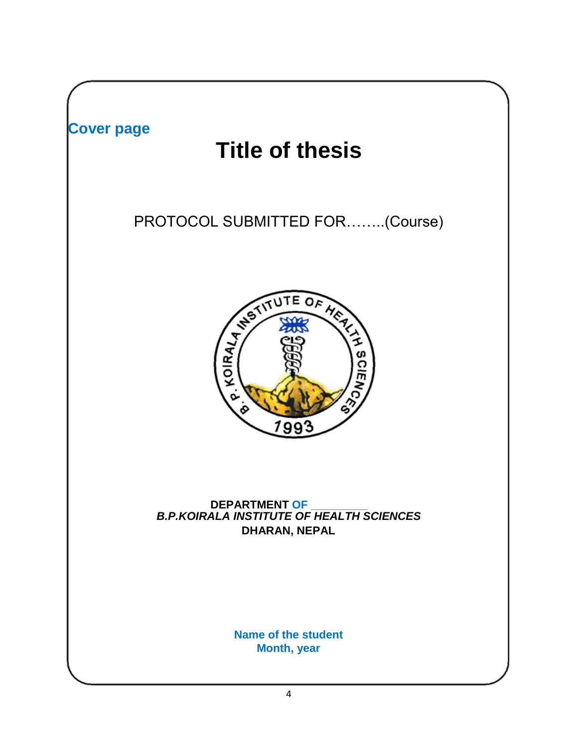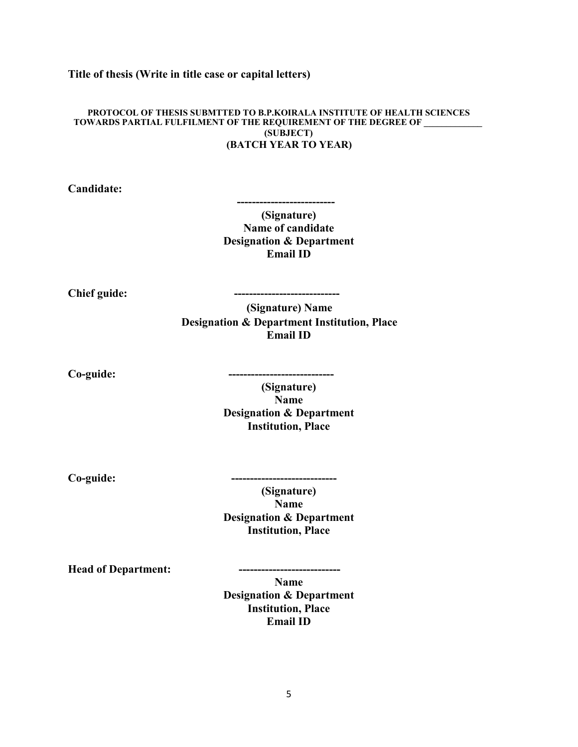#### **Title of thesis (Write in title case or capital letters)**

#### **PROTOCOL OF THESIS SUBMTTED TO B.P.KOIRALA INSTITUTE OF HEALTH SCIENCES TOWARDS PARTIAL FULFILMENT OF THE REQUIREMENT OF THE DEGREE OF \_\_\_\_\_\_\_\_\_\_\_\_\_ (SUBJECT) (BATCH YEAR TO YEAR)**

**Candidate:**

**(Signature) Name of candidate Designation & Department Email ID**

 **--------------------------**

**Chief guide: ----------------------------**

**(Signature) Name Designation & Department Institution, Place Email ID**

**Co-guide: ----------------------------**

**(Signature) Name Designation & Department Institution, Place**

 $Co$ -guide:

**(Signature) Name Designation & Department Institution, Place**

**Head of Department:** 

**Name**

**Designation & Department Institution, Place Email ID**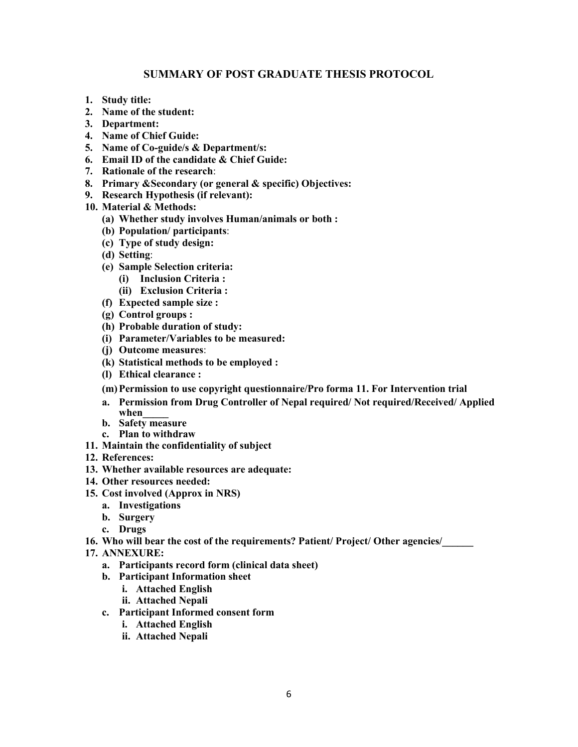## **SUMMARY OF POST GRADUATE THESIS PROTOCOL**

- **1. Study title:**
- **2. Name of the student:**
- **3. Department:**
- **4. Name of Chief Guide:**
- **5. Name of Co-guide/s & Department/s:**
- **6. Email ID of the candidate & Chief Guide:**
- **7. Rationale of the research**:
- **8. Primary &Secondary (or general & specific) Objectives:**
- **9. Research Hypothesis (if relevant):**
- **10. Material & Methods:** 
	- **(a) Whether study involves Human/animals or both :**
	- **(b) Population/ participants**:
	- **(c) Type of study design:**
	- **(d) Setting**:
	- **(e) Sample Selection criteria:** 
		- **(i) Inclusion Criteria :**
		- **(ii) Exclusion Criteria :**
	- **(f) Expected sample size :**
	- **(g) Control groups :**
	- **(h) Probable duration of study:**
	- **(i) Parameter/Variables to be measured:**
	- **(j) Outcome measures**:
	- **(k) Statistical methods to be employed :**
	- **(l) Ethical clearance :**
	- **(m)Permission to use copyright questionnaire/Pro forma 11. For Intervention trial**
	- **a. Permission from Drug Controller of Nepal required/ Not required/Received/ Applied when\_\_\_\_\_**
	- **b. Safety measure**
	- **c. Plan to withdraw**
- **11. Maintain the confidentiality of subject**
- **12. References:**
- **13. Whether available resources are adequate:**
- **14. Other resources needed:**
- **15. Cost involved (Approx in NRS)** 
	- **a. Investigations**
	- **b. Surgery**
	- **c. Drugs**
- **16. Who will bear the cost of the requirements? Patient/ Project/ Other agencies/\_\_\_\_\_\_**
- **17. ANNEXURE:** 
	- **a. Participants record form (clinical data sheet)**
	- **b. Participant Information sheet** 
		- **i. Attached English**
		- **ii. Attached Nepali**
	- **c. Participant Informed consent form** 
		- **i. Attached English**
		- **ii. Attached Nepali**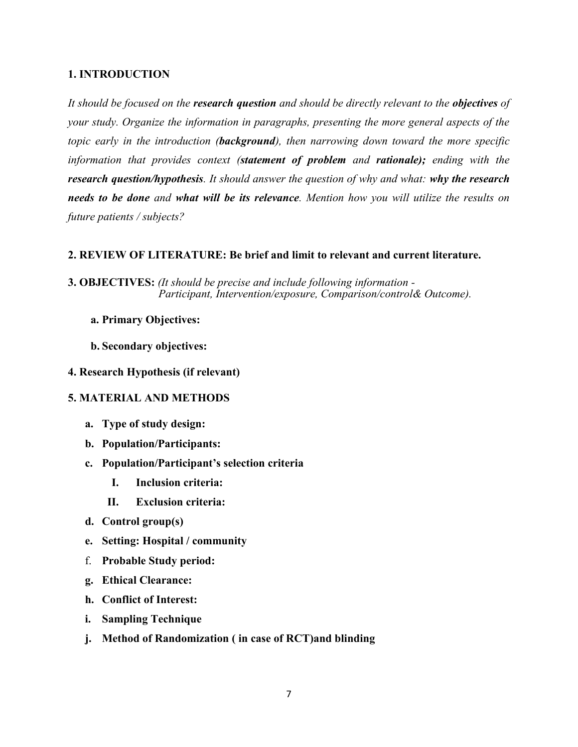## **1. INTRODUCTION**

*It should be focused on the research question and should be directly relevant to the objectives of your study. Organize the information in paragraphs, presenting the more general aspects of the topic early in the introduction (background), then narrowing down toward the more specific information that provides context (statement of problem and rationale); ending with the research question/hypothesis. It should answer the question of why and what: why the research needs to be done and what will be its relevance. Mention how you will utilize the results on future patients / subjects?*

## **2. REVIEW OF LITERATURE: Be brief and limit to relevant and current literature.**

- **3. OBJECTIVES:** *(It should be precise and include following information - Participant, Intervention/exposure, Comparison/control& Outcome).* 
	- **a. Primary Objectives:**
	- **b. Secondary objectives:**
- **4. Research Hypothesis (if relevant)**

# **5. MATERIAL AND METHODS**

- **a. Type of study design:**
- **b. Population/Participants:**
- **c. Population/Participant's selection criteria** 
	- **I. Inclusion criteria:**
	- **II. Exclusion criteria:**
- **d. Control group(s)**
- **e. Setting: Hospital / community**
- f. **Probable Study period:**
- **g. Ethical Clearance:**
- **h. Conflict of Interest:**
- **i. Sampling Technique**
- **j. Method of Randomization ( in case of RCT)and blinding**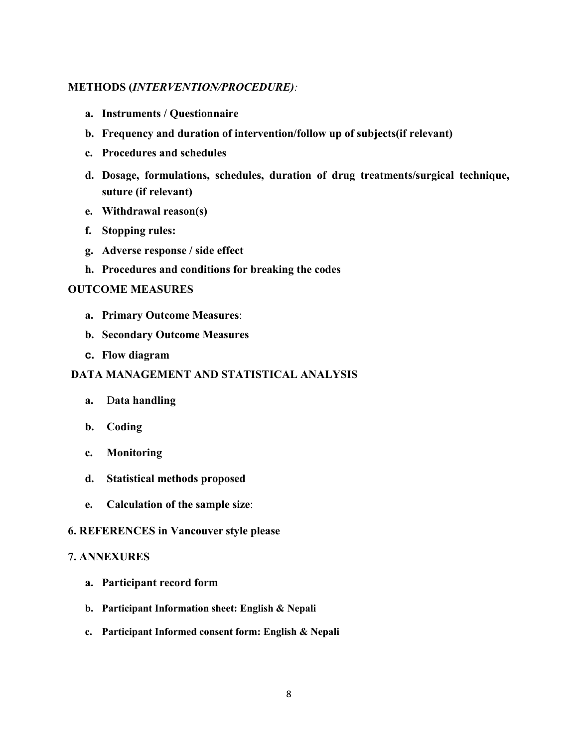## **METHODS (***INTERVENTION/PROCEDURE):*

- **a. Instruments / Questionnaire**
- **b. Frequency and duration of intervention/follow up of subjects(if relevant)**
- **c. Procedures and schedules**
- **d. Dosage, formulations, schedules, duration of drug treatments/surgical technique, suture (if relevant)**
- **e. Withdrawal reason(s)**
- **f. Stopping rules:**
- **g. Adverse response / side effect**
- **h. Procedures and conditions for breaking the codes**

#### **OUTCOME MEASURES**

- **a. Primary Outcome Measures**:
- **b. Secondary Outcome Measures**
- **c. Flow diagram**

## **DATA MANAGEMENT AND STATISTICAL ANALYSIS**

- **a.** D**ata handling**
- **b. Coding**
- **c. Monitoring**
- **d. Statistical methods proposed**
- **e. Calculation of the sample size**:

#### **6. REFERENCES in Vancouver style please**

#### **7. ANNEXURES**

- **a. Participant record form**
- **b. Participant Information sheet: English & Nepali**
- **c. Participant Informed consent form: English & Nepali**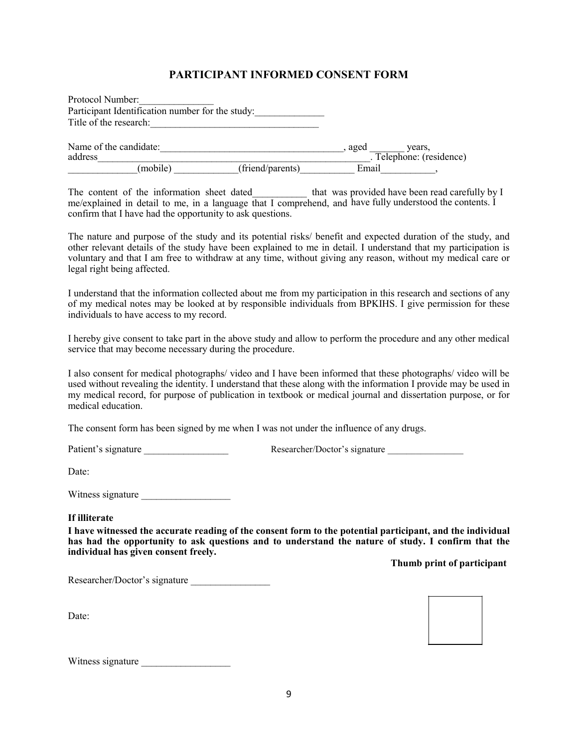# **PARTICIPANT INFORMED CONSENT FORM**

| Protocol Number:                                 |                  |       |                        |
|--------------------------------------------------|------------------|-------|------------------------|
| Participant Identification number for the study: |                  |       |                        |
| Title of the research:                           |                  |       |                        |
| Name of the candidate:                           |                  | aged  | vears.                 |
| address                                          |                  |       | Telephone: (residence) |
| (mobile)                                         | (friend/parents) | Email |                        |

The content of the information sheet dated that was me/explained in detail to me, in a language that I comprehend, and confirm that I have had the opportunity to ask questions. provided have been read carefully by I have fully understood the contents. I

The nature and purpose of the study and its potential risks/ benefit and expected duration of the study, and other relevant details of the study have been explained to me in detail. I understand that my participation is voluntary and that I am free to withdraw at any time, without giving any reason, without my medical care or legal right being affected.

I understand that the information collected about me from my participation in this research and sections of any of my medical notes may be looked at by responsible individuals from BPKIHS. I give permission for these individuals to have access to my record.

I hereby give consent to take part in the above study and allow to perform the procedure and any other medical service that may become necessary during the procedure.

I also consent for medical photographs/ video and I have been informed that these photographs/ video will be used without revealing the identity. I understand that these along with the information I provide may be used in my medical record, for purpose of publication in textbook or medical journal and dissertation purpose, or for medical education.

The consent form has been signed by me when I was not under the influence of any drugs.

Patient's signature <br>
Researcher/Doctor's signature <br>
Researcher/Doctor's signature <br>
Researcher/Doctor's signature <br>
Researcher/Doctor's signature <br>
Researcher/Doctor's signature <br>
Researcher/Doctor's signature <br>
Research

Date:

Witness signature

#### **If illiterate**

**I have witnessed the accurate reading of the consent form to the potential participant, and the individual has had the opportunity to ask questions and to understand the nature of study. I confirm that the individual has given consent freely.**

**Thumb print of participant**

Researcher/Doctor's signature

Date:



Witness signature